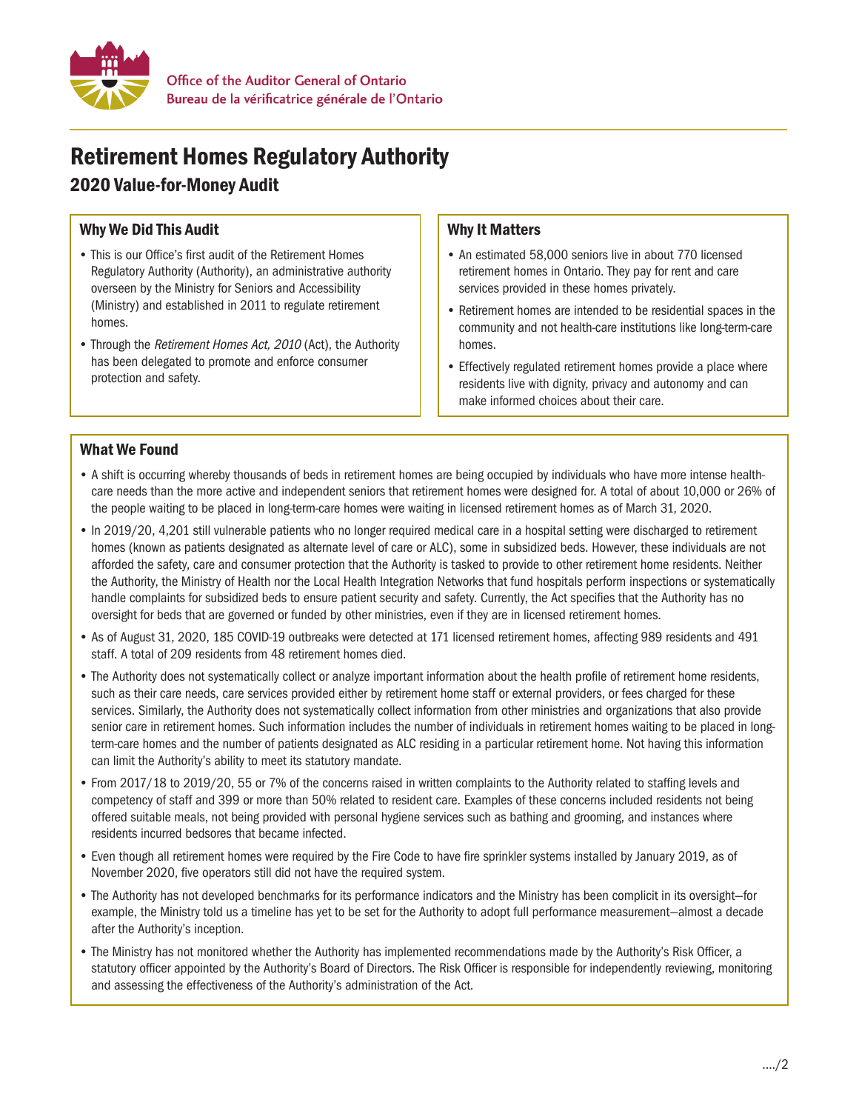

# Retirement Homes Regulatory Authority

2020 Value-for-Money Audit

## Why We Did This Audit

- This is our Office's first audit of the Retirement Homes Regulatory Authority (Authority), an administrative authority overseen by the Ministry for Seniors and Accessibility (Ministry) and established in 2011 to regulate retirement homes.
- Through the Retirement Homes Act, 2010 (Act), the Authority has been delegated to promote and enforce consumer protection and safety.

#### Why It Matters

- An estimated 58,000 seniors live in about 770 licensed retirement homes in Ontario. They pay for rent and care services provided in these homes privately.
- Retirement homes are intended to be residential spaces in the community and not health-care institutions like long-term-care homes.
- Effectively regulated retirement homes provide a place where residents live with dignity, privacy and autonomy and can make informed choices about their care.

### What We Found

- A shift is occurring whereby thousands of beds in retirement homes are being occupied by individuals who have more intense healthcare needs than the more active and independent seniors that retirement homes were designed for. A total of about 10,000 or 26% of the people waiting to be placed in long-term-care homes were waiting in licensed retirement homes as of March 31, 2020.
- In 2019/20, 4,201 still vulnerable patients who no longer required medical care in a hospital setting were discharged to retirement homes (known as patients designated as alternate level of care or ALC), some in subsidized beds. However, these individuals are not afforded the safety, care and consumer protection that the Authority is tasked to provide to other retirement home residents. Neither the Authority, the Ministry of Health nor the Local Health Integration Networks that fund hospitals perform inspections or systematically handle complaints for subsidized beds to ensure patient security and safety. Currently, the Act specifies that the Authority has no oversight for beds that are governed or funded by other ministries, even if they are in licensed retirement homes.
- As of August 31, 2020, 185 COVID-19 outbreaks were detected at 171 licensed retirement homes, affecting 989 residents and 491 staff. A total of 209 residents from 48 retirement homes died.
- The Authority does not systematically collect or analyze important information about the health profile of retirement home residents, such as their care needs, care services provided either by retirement home staff or external providers, or fees charged for these services. Similarly, the Authority does not systematically collect information from other ministries and organizations that also provide senior care in retirement homes. Such information includes the number of individuals in retirement homes waiting to be placed in longterm-care homes and the number of patients designated as ALC residing in a particular retirement home. Not having this information can limit the Authority's ability to meet its statutory mandate.
- • From 2017/18 to 2019/20, 55 or 7% of the concerns raised in written complaints to the Authority related to staffing levels and competency of staff and 399 or more than 50% related to resident care. Examples of these concerns included residents not being offered suitable meals, not being provided with personal hygiene services such as bathing and grooming, and instances where residents incurred bedsores that became infected.
- • Even though all retirement homes were required by the Fire Code to have fire sprinkler systems installed by January 2019, as of November 2020, five operators still did not have the required system.
- The Authority has not developed benchmarks for its performance indicators and the Ministry has been complicit in its oversight—for example, the Ministry told us a timeline has yet to be set for the Authority to adopt full performance measurement—almost a decade after the Authority's inception.
- The Ministry has not monitored whether the Authority has implemented recommendations made by the Authority's Risk Officer, a statutory officer appointed by the Authority's Board of Directors. The Risk Officer is responsible for independently reviewing, monitoring and assessing the effectiveness of the Authority's administration of the Act.